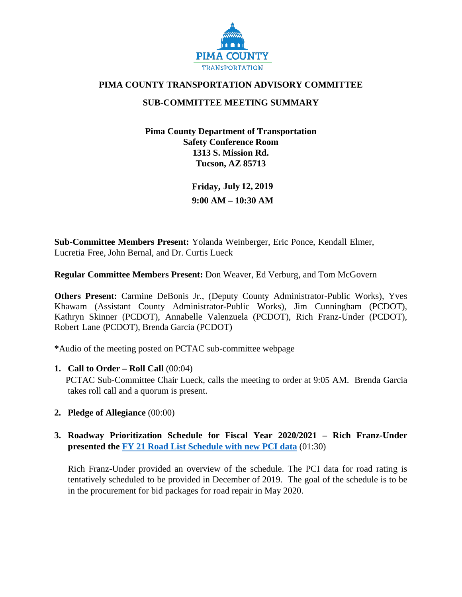

### **PIMA COUNTY TRANSPORTATION ADVISORY COMMITTEE**

# **SUB-COMMITTEE MEETING SUMMARY**

**Pima County Department of Transportation Safety Conference Room 1313 S. Mission Rd. Tucson, AZ 85713** 

> **Friday, July 12, 2019 9:00 AM – 10:30 AM**

**Sub-Committee Members Present:** Yolanda Weinberger, Eric Ponce, Kendall Elmer, Lucretia Free, John Bernal, and Dr. Curtis Lueck

**Regular Committee Members Present:** Don Weaver, Ed Verburg, and Tom McGovern

**Others Present:** Carmine DeBonis Jr., (Deputy County Administrator-Public Works), Yves Khawam (Assistant County Administrator-Public Works), Jim Cunningham (PCDOT), Kathryn Skinner (PCDOT), Annabelle Valenzuela (PCDOT), Rich Franz-Under (PCDOT), Robert Lane (PCDOT), Brenda Garcia (PCDOT)

**\***Audio of the meeting posted on PCTAC sub-committee webpage

### **1. Call to Order – Roll Call** (00:04)

PCTAC Sub-Committee Chair Lueck, calls the meeting to order at 9:05 AM. Brenda Garcia takes roll call and a quorum is present.

- **2. Pledge of Allegiance** (00:00)
- **3. Roadway Prioritization Schedule for Fiscal Year 2020/2021 Rich Franz-Under presented the [FY 21 Road List Schedule with new PCI data](http://webcms.pima.gov/UserFiles/Servers/Server_6/File/Government/Transportation/TransportationAdvisoryCommittee/DocumentsTab/Jul23.2019/StreetSaver_FY21Schedule.pdf)** (01:30)

Rich Franz-Under provided an overview of the schedule. The PCI data for road rating is tentatively scheduled to be provided in December of 2019. The goal of the schedule is to be in the procurement for bid packages for road repair in May 2020.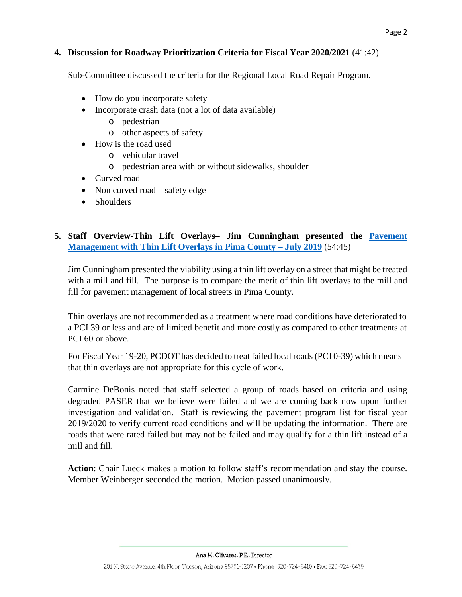### **4. Discussion for Roadway Prioritization Criteria for Fiscal Year 2020/2021** (41:42)

Sub-Committee discussed the criteria for the Regional Local Road Repair Program.

- How do you incorporate safety
- Incorporate crash data (not a lot of data available)
	- o pedestrian
	- o other aspects of safety
- How is the road used
	- o vehicular travel
	- o pedestrian area with or without sidewalks, shoulder
- Curved road
- Non curved road safety edge
- Shoulders

# **5. Staff Overview-Thin Lift Overlays– Jim Cunningham presented the [Pavement](http://webcms.pima.gov/UserFiles/Servers/Server_6/File/Government/Transportation/TransportationAdvisoryCommittee/DocumentsTab/Jul23.2019/190715_ThinLiftOverlays_in_PimaCounty.pdf) [Management with Thin Lift Overlays in Pima County – July 2019](http://webcms.pima.gov/UserFiles/Servers/Server_6/File/Government/Transportation/TransportationAdvisoryCommittee/DocumentsTab/Jul23.2019/190715_ThinLiftOverlays_in_PimaCounty.pdf)** (54:45)

Jim Cunningham presented the viability using a thin lift overlay on a street that might be treated with a mill and fill. The purpose is to compare the merit of thin lift overlays to the mill and fill for pavement management of local streets in Pima County.

Thin overlays are not recommended as a treatment where road conditions have deteriorated to a PCI 39 or less and are of limited benefit and more costly as compared to other treatments at PCI 60 or above.

For Fiscal Year 19-20, PCDOT has decided to treat failed local roads (PCI 0-39) which means that thin overlays are not appropriate for this cycle of work.

Carmine DeBonis noted that staff selected a group of roads based on criteria and using degraded PASER that we believe were failed and we are coming back now upon further investigation and validation. Staff is reviewing the pavement program list for fiscal year 2019/2020 to verify current road conditions and will be updating the information. There are roads that were rated failed but may not be failed and may qualify for a thin lift instead of a mill and fill.

**Action**: Chair Lueck makes a motion to follow staff's recommendation and stay the course. Member Weinberger seconded the motion. Motion passed unanimously.